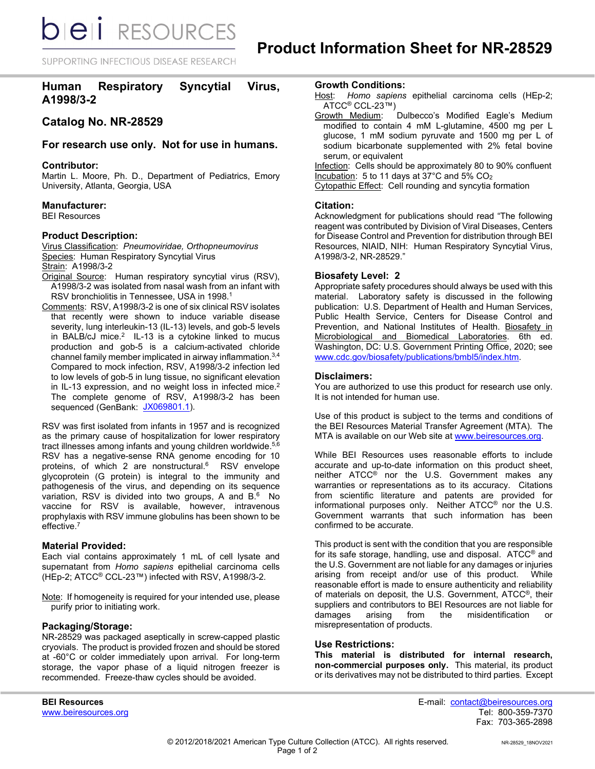**bieli** RESOURCES

SUPPORTING INFECTIOUS DISEASE RESEARCH

# **Human Respiratory Syncytial Virus, A1998/3-2**

## **Catalog No. NR-28529**

## **For research use only. Not for use in humans.**

## **Contributor:**

Martin L. Moore, Ph. D., Department of Pediatrics, Emory University, Atlanta, Georgia, USA

## **Manufacturer:**

BEI Resources

## **Product Description:**

Virus Classification: *Pneumoviridae, Orthopneumovirus* Species: Human Respiratory Syncytial Virus Strain: A1998/3-2

- Original Source: Human respiratory syncytial virus (RSV), A1998/3-2 was isolated from nasal wash from an infant with RSV bronchiolitis in Tennessee, USA in 1998.<sup>1</sup>
- Comments: RSV, A1998/3-2 is one of six clinical RSV isolates that recently were shown to induce variable disease severity, lung interleukin-13 (IL-13) levels, and gob-5 levels in BALB/cJ mice.<sup>2</sup> IL-13 is a cytokine linked to mucus production and gob-5 is a calcium-activated chloride channel family member implicated in airway inflammation. $^{\rm 3,4}$ Compared to mock infection, RSV, A1998/3-2 infection led to low levels of gob-5 in lung tissue, no significant elevation in IL-13 expression, and no weight loss in infected mice.<sup>2</sup> The complete genome of RSV, A1998/3-2 has been sequenced (GenBank: <u>JX069801.1</u>).

RSV was first isolated from infants in 1957 and is recognized as the primary cause of hospitalization for lower respiratory tract illnesses among infants and young children worldwide. 5,6 RSV has a negative-sense RNA genome encoding for 10 proteins, of which 2 are nonstructural.<sup>6</sup> RSV envelope glycoprotein (G protein) is integral to the immunity and pathogenesis of the virus, and depending on its sequence variation, RSV is divided into two groups, A and  $B^{6}$  No vaccine for RSV is available, however, intravenous prophylaxis with RSV immune globulins has been shown to be effective.7

#### **Material Provided:**

Each vial contains approximately 1 mL of cell lysate and supernatant from *Homo sapiens* epithelial carcinoma cells (HEp-2; ATCC® CCL-23™) infected with RSV, A1998/3-2.

Note: If homogeneity is required for your intended use, please purify prior to initiating work.

#### **Packaging/Storage:**

NR-28529 was packaged aseptically in screw-capped plastic cryovials. The product is provided frozen and should be stored at -60°C or colder immediately upon arrival. For long-term storage, the vapor phase of a liquid nitrogen freezer is recommended. Freeze-thaw cycles should be avoided.

**Growth Conditions:**

- Host: *Homo sapiens* epithelial carcinoma cells (HEp-2; ATCC<sup>®</sup> CCL-23™)<br>Growth Medium:
- Dulbecco's Modified Eagle's Medium modified to contain 4 mM L-glutamine, 4500 mg per L glucose, 1 mM sodium pyruvate and 1500 mg per L of sodium bicarbonate supplemented with 2% fetal bovine serum, or equivalent

Infection: Cells should be approximately 80 to 90% confluent Incubation: 5 to 11 days at 37°C and 5% CO<sub>2</sub>

Cytopathic Effect: Cell rounding and syncytia formation

#### **Citation:**

Acknowledgment for publications should read "The following reagent was contributed by Division of Viral Diseases, Centers for Disease Control and Prevention for distribution through BEI Resources, NIAID, NIH: Human Respiratory Syncytial Virus, A1998/3-2, NR-28529."

## **Biosafety Level: 2**

Appropriate safety procedures should always be used with this material. Laboratory safety is discussed in the following publication: U.S. Department of Health and Human Services, Public Health Service, Centers for Disease Control and Prevention, and National Institutes of Health. Biosafety in Microbiological and Biomedical Laboratories. 6th ed. Washington, DC: U.S. Government Printing Office, 2020; see [www.cdc.gov/biosafety/publications/bmbl5/index.htm.](http://www.cdc.gov/biosafety/publications/bmbl5/index.htm)

## **Disclaimers:**

You are authorized to use this product for research use only. It is not intended for human use.

Use of this product is subject to the terms and conditions of the BEI Resources Material Transfer Agreement (MTA). The MTA is available on our Web site at [www.beiresources.org.](http://www.beiresources.org/)

While BEI Resources uses reasonable efforts to include accurate and up-to-date information on this product sheet, neither ATCC<sup>®</sup> nor the U.S. Government makes any warranties or representations as to its accuracy. Citations from scientific literature and patents are provided for informational purposes only. Neither ATCC® nor the U.S. Government warrants that such information has been confirmed to be accurate.

This product is sent with the condition that you are responsible for its safe storage, handling, use and disposal. ATCC® and the U.S. Government are not liable for any damages or injuries arising from receipt and/or use of this product. While reasonable effort is made to ensure authenticity and reliability of materials on deposit, the U.S. Government, ATCC®, their suppliers and contributors to BEI Resources are not liable for damages arising from the misidentification or misrepresentation of products.

#### **Use Restrictions:**

**This material is distributed for internal research, non-commercial purposes only.** This material, its product or its derivatives may not be distributed to third parties. Except

**BEI Resources** E-mail: contact@beiresources.org Fax: 703-365-2898